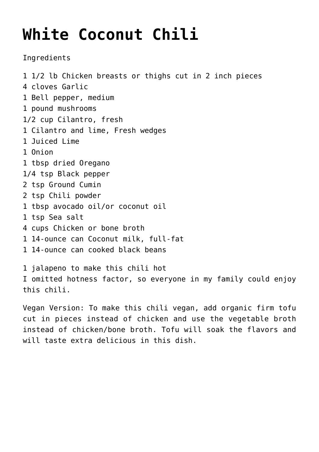## **[White Coconut Chili](https://sproutshealth.com/white-coconut-chili/)**

Ingredients

1 1/2 lb Chicken breasts or thighs cut in 2 inch pieces 4 cloves Garlic 1 Bell pepper, medium 1 pound mushrooms 1/2 cup Cilantro, fresh 1 Cilantro and lime, Fresh wedges 1 Juiced Lime 1 Onion 1 tbsp dried Oregano 1/4 tsp Black pepper 2 tsp Ground Cumin 2 tsp Chili powder 1 tbsp avocado oil/or coconut oil 1 tsp Sea salt 4 cups Chicken or bone broth 1 14-ounce can Coconut milk, full-fat 1 14-ounce can cooked black beans 1 jalapeno to make this chili hot I omitted hotness factor, so everyone in my family could enjoy this chili.

Vegan Version: To make this chili vegan, add organic firm tofu cut in pieces instead of chicken and use the vegetable broth instead of chicken/bone broth. Tofu will soak the flavors and will taste extra delicious in this dish.